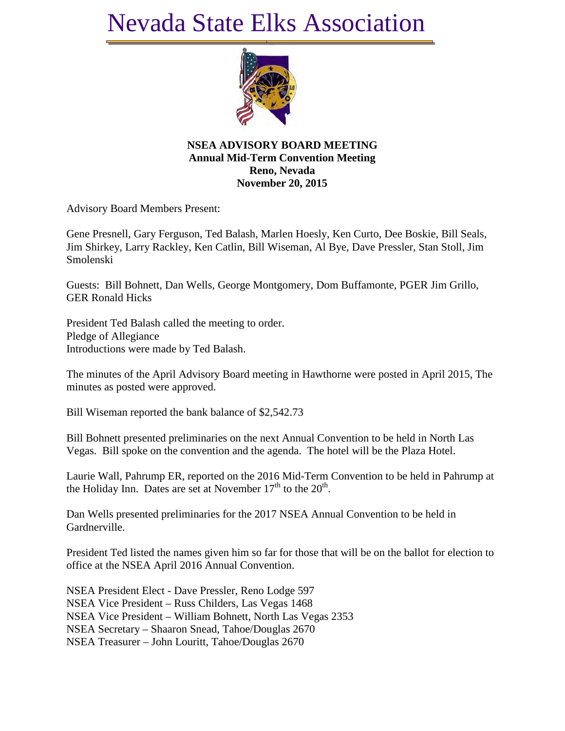## Nevada State Elks Association



**NSEA ADVISORY BOARD MEETING Annual Mid-Term Convention Meeting Reno, Nevada November 20, 2015**

Advisory Board Members Present:

Gene Presnell, Gary Ferguson, Ted Balash, Marlen Hoesly, Ken Curto, Dee Boskie, Bill Seals, Jim Shirkey, Larry Rackley, Ken Catlin, Bill Wiseman, Al Bye, Dave Pressler, Stan Stoll, Jim Smolenski

Guests: Bill Bohnett, Dan Wells, George Montgomery, Dom Buffamonte, PGER Jim Grillo, GER Ronald Hicks

President Ted Balash called the meeting to order. Pledge of Allegiance Introductions were made by Ted Balash.

The minutes of the April Advisory Board meeting in Hawthorne were posted in April 2015, The minutes as posted were approved.

Bill Wiseman reported the bank balance of \$2,542.73

Bill Bohnett presented preliminaries on the next Annual Convention to be held in North Las Vegas. Bill spoke on the convention and the agenda. The hotel will be the Plaza Hotel.

Laurie Wall, Pahrump ER, reported on the 2016 Mid-Term Convention to be held in Pahrump at the Holiday Inn. Dates are set at November  $17<sup>th</sup>$  to the  $20<sup>th</sup>$ .

Dan Wells presented preliminaries for the 2017 NSEA Annual Convention to be held in Gardnerville.

President Ted listed the names given him so far for those that will be on the ballot for election to office at the NSEA April 2016 Annual Convention.

NSEA President Elect - Dave Pressler, Reno Lodge 597 NSEA Vice President – Russ Childers, Las Vegas 1468 NSEA Vice President – William Bohnett, North Las Vegas 2353 NSEA Secretary – Shaaron Snead, Tahoe/Douglas 2670 NSEA Treasurer – John Louritt, Tahoe/Douglas 2670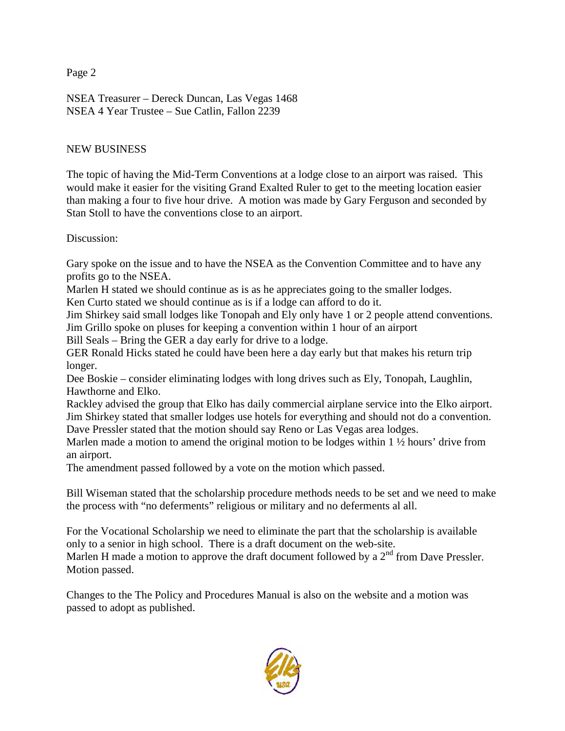Page 2

NSEA Treasurer – Dereck Duncan, Las Vegas 1468 NSEA 4 Year Trustee – Sue Catlin, Fallon 2239

## NEW BUSINESS

The topic of having the Mid-Term Conventions at a lodge close to an airport was raised. This would make it easier for the visiting Grand Exalted Ruler to get to the meeting location easier than making a four to five hour drive. A motion was made by Gary Ferguson and seconded by Stan Stoll to have the conventions close to an airport.

Discussion:

Gary spoke on the issue and to have the NSEA as the Convention Committee and to have any profits go to the NSEA.

Marlen H stated we should continue as is as he appreciates going to the smaller lodges.

Ken Curto stated we should continue as is if a lodge can afford to do it.

Jim Shirkey said small lodges like Tonopah and Ely only have 1 or 2 people attend conventions. Jim Grillo spoke on pluses for keeping a convention within 1 hour of an airport

Bill Seals – Bring the GER a day early for drive to a lodge.

GER Ronald Hicks stated he could have been here a day early but that makes his return trip longer.

Dee Boskie – consider eliminating lodges with long drives such as Ely, Tonopah, Laughlin, Hawthorne and Elko.

Rackley advised the group that Elko has daily commercial airplane service into the Elko airport. Jim Shirkey stated that smaller lodges use hotels for everything and should not do a convention. Dave Pressler stated that the motion should say Reno or Las Vegas area lodges.

Marlen made a motion to amend the original motion to be lodges within  $1 \frac{1}{2}$  hours' drive from an airport.

The amendment passed followed by a vote on the motion which passed.

Bill Wiseman stated that the scholarship procedure methods needs to be set and we need to make the process with "no deferments" religious or military and no deferments al all.

For the Vocational Scholarship we need to eliminate the part that the scholarship is available only to a senior in high school. There is a draft document on the web-site.

Marlen H made a motion to approve the draft document followed by a  $2<sup>nd</sup>$  from Dave Pressler. Motion passed.

Changes to the The Policy and Procedures Manual is also on the website and a motion was passed to adopt as published.